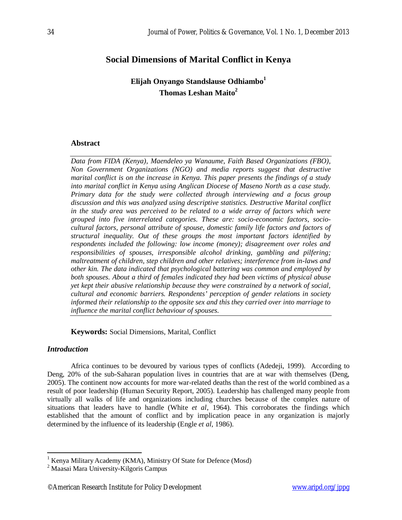# **Social Dimensions of Marital Conflict in Kenya**

**Elijah Onyango Standslause Odhiambo<sup>1</sup> Thomas Leshan Maito<sup>2</sup>**

## **Abstract**

*Data from FIDA (Kenya), Maendeleo ya Wanaume, Faith Based Organizations (FBO), Non Government Organizations (NGO) and media reports suggest that destructive marital conflict is on the increase in Kenya. This paper presents the findings of a study into marital conflict in Kenya using Anglican Diocese of Maseno North as a case study. Primary data for the study were collected through interviewing and a focus group discussion and this was analyzed using descriptive statistics. Destructive Marital conflict in the study area was perceived to be related to a wide array of factors which were grouped into five interrelated categories. These are: socio-economic factors, sociocultural factors, personal attribute of spouse, domestic family life factors and factors of structural inequality. Out of these groups the most important factors identified by respondents included the following: low income (money); disagreement over roles and responsibilities of spouses, irresponsible alcohol drinking, gambling and pilfering; maltreatment of children, step children and other relatives; interference from in-laws and other kin. The data indicated that psychological battering was common and employed by both spouses. About a third of females indicated they had been victims of physical abuse yet kept their abusive relationship because they were constrained by a network of social, cultural and economic barriers. Respondents' perception of gender relations in society informed their relationship to the opposite sex and this they carried over into marriage to influence the marital conflict behaviour of spouses.*

**Keywords:** Social Dimensions, Marital, Conflict

## *Introduction*

 $\overline{a}$ 

Africa continues to be devoured by various types of conflicts (Adedeji, 1999). According to Deng, 20% of the sub-Saharan population lives in countries that are at war with themselves (Deng, 2005). The continent now accounts for more war-related deaths than the rest of the world combined as a result of poor leadership (Human Security Report, 2005). Leadership has challenged many people from virtually all walks of life and organizations including churches because of the complex nature of situations that leaders have to handle (White *et al*, 1964). This corroborates the findings which established that the amount of conflict and by implication peace in any organization is majorly determined by the influence of its leadership (Engle *et al*, 1986).

 $1$  Kenya Military Academy (KMA), Ministry Of State for Defence (Mosd)

<sup>2</sup> Maasai Mara University-Kilgoris Campus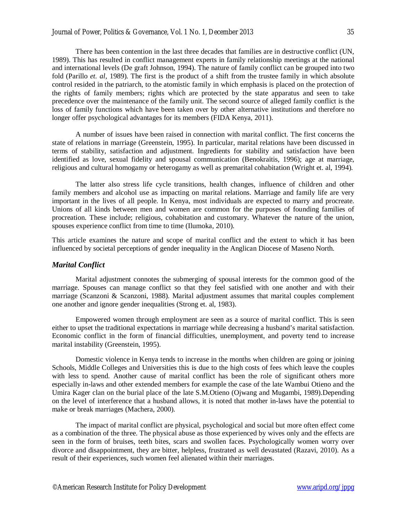There has been contention in the last three decades that families are in destructive conflict (UN, 1989). This has resulted in conflict management experts in family relationship meetings at the national and international levels (De graft Johnson, 1994). The nature of family conflict can be grouped into two fold (Parillo *et. al,* 1989). The first is the product of a shift from the trustee family in which absolute control resided in the patriarch, to the atomistic family in which emphasis is placed on the protection of the rights of family members; rights which are protected by the state apparatus and seen to take precedence over the maintenance of the family unit. The second source of alleged family conflict is the loss of family functions which have been taken over by other alternative institutions and therefore no longer offer psychological advantages for its members (FIDA Kenya, 2011).

A number of issues have been raised in connection with marital conflict. The first concerns the state of relations in marriage (Greenstein, 1995). In particular, marital relations have been discussed in terms of stability, satisfaction and adjustment. Ingredients for stability and satisfaction have been identified as love, sexual fidelity and spousal communication (Benokraitis, 1996); age at marriage, religious and cultural homogamy or heterogamy as well as premarital cohabitation (Wright et. al, 1994).

The latter also stress life cycle transitions, health changes, influence of children and other family members and alcohol use as impacting on marital relations. Marriage and family life are very important in the lives of all people. In Kenya, most individuals are expected to marry and procreate. Unions of all kinds between men and women are common for the purposes of founding families of procreation. These include; religious, cohabitation and customary. Whatever the nature of the union, spouses experience conflict from time to time (Ilumoka, 2010).

This article examines the nature and scope of marital conflict and the extent to which it has been influenced by societal perceptions of gender inequality in the Anglican Diocese of Maseno North.

#### *Marital Conflict*

Marital adjustment connotes the submerging of spousal interests for the common good of the marriage. Spouses can manage conflict so that they feel satisfied with one another and with their marriage (Scanzoni & Scanzoni, 1988). Marital adjustment assumes that marital couples complement one another and ignore gender inequalities (Strong et. al, 1983).

Empowered women through employment are seen as a source of marital conflict. This is seen either to upset the traditional expectations in marriage while decreasing a husband's marital satisfaction. Economic conflict in the form of financial difficulties, unemployment, and poverty tend to increase marital instability (Greenstein, 1995).

Domestic violence in Kenya tends to increase in the months when children are going or joining Schools, Middle Colleges and Universities this is due to the high costs of fees which leave the couples with less to spend. Another cause of marital conflict has been the role of significant others more especially in-laws and other extended members for example the case of the late Wambui Otieno and the Umira Kager clan on the burial place of the late S.M.Otieno (Ojwang and Mugambi, 1989).Depending on the level of interference that a husband allows, it is noted that mother in-laws have the potential to make or break marriages (Machera, 2000).

The impact of marital conflict are physical, psychological and social but more often effect come as a combination of the three. The physical abuse as those experienced by wives only and the effects are seen in the form of bruises, teeth bites, scars and swollen faces. Psychologically women worry over divorce and disappointment, they are bitter, helpless, frustrated as well devastated (Razavi, 2010). As a result of their experiences, such women feel alienated within their marriages.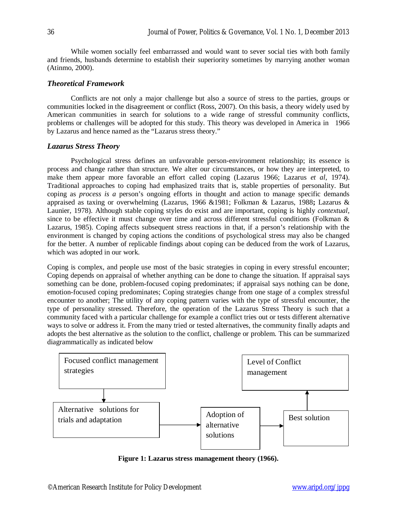While women socially feel embarrassed and would want to sever social ties with both family and friends, husbands determine to establish their superiority sometimes by marrying another woman (Atinmo, 2000).

## *Theoretical Framework*

Conflicts are not only a major challenge but also a source of stress to the parties, groups or communities locked in the disagreement or conflict (Ross, 2007). On this basis, a theory widely used by American communities in search for solutions to a wide range of stressful community conflicts, problems or challenges will be adopted for this study. This theory was developed in America in 1966 by Lazarus and hence named as the "Lazarus stress theory."

## *Lazarus Stress Theory*

Psychological stress defines an unfavorable person-environment relationship; its essence is process and change rather than structure. We alter our circumstances, or how they are interpreted, to make them appear more favorable an effort called coping (Lazarus 1966; Lazarus *et al*, 1974). Traditional approaches to coping had emphasized traits that is, stable properties of personality. But coping as *process is a* person's ongoing efforts in thought and action to manage specific demands appraised as taxing or overwhelming (Lazarus, 1966 &1981; Folkman & Lazarus, 1988**;** Lazarus & Launier, 1978). Although stable coping styles do exist and are important, coping is highly *contextual,*  since to be effective it must change over time and across different stressful conditions (Folkman & Lazarus, 1985). Coping affects subsequent stress reactions in that, if a person's relationship with the environment is changed by coping actions the conditions of psychological stress may also be changed for the better. A number of replicable findings about coping can be deduced from the work of Lazarus, which was adopted in our work.

Coping is complex, and people use most of the basic strategies in coping in every stressful encounter; Coping depends on appraisal of whether anything can be done to change the situation. If appraisal says something can be done, problem-focused coping predominates; if appraisal says nothing can be done, emotion-focused coping predominates; Coping strategies change from one stage of a complex stressful encounter to another; The utility of any coping pattern varies with the type of stressful encounter, the type of personality stressed. Therefore, the operation of the Lazarus Stress Theory is such that a community faced with a particular challenge for example a conflict tries out or tests different alternative ways to solve or address it. From the many tried or tested alternatives, the community finally adapts and adopts the best alternative as the solution to the conflict, challenge or problem. This can be summarized diagrammatically as indicated below



**Figure 1: Lazarus stress management theory (1966).**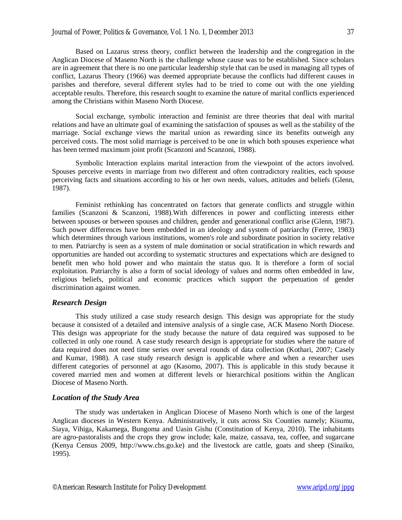Based on Lazarus stress theory, conflict between the leadership and the congregation in the Anglican Diocese of Maseno North is the challenge whose cause was to be established. Since scholars are in agreement that there is no one particular leadership style that can be used in managing all types of conflict, Lazarus Theory (1966) was deemed appropriate because the conflicts had different causes in parishes and therefore, several different styles had to be tried to come out with the one yielding acceptable results. Therefore, this research sought to examine the nature of marital conflicts experienced among the Christians within Maseno North Diocese.

Social exchange, symbolic interaction and feminist are three theories that deal with marital relations and have an ultimate goal of examining the satisfaction of spouses as well as the stability of the marriage. Social exchange views the marital union as rewarding since its benefits outweigh any perceived costs. The most solid marriage is perceived to be one in which both spouses experience what has been termed maximum joint profit (Scanzoni and Scanzoni, 1988).

Symbolic Interaction explains marital interaction from the viewpoint of the actors involved. Spouses perceive events in marriage from two different and often contradictory realities, each spouse perceiving facts and situations according to his or her own needs, values, attitudes and beliefs (Glenn, 1987).

Feminist rethinking has concentrated on factors that generate conflicts and struggle within families (Scanzoni & Scanzoni, 1988).With differences in power and conflicting interests either between spouses or between spouses and children, gender and generational conflict arise (Glenn, 1987). Such power differences have been embedded in an ideology and system of patriarchy (Ferree, 1983) which determines through various institutions, women's role and subordinate position in society relative to men. Patriarchy is seen as a system of male domination or social stratification in which rewards and opportunities are handed out according to systematic structures and expectations which are designed to benefit men who hold power and who maintain the status quo. It is therefore a form of social exploitation. Patriarchy is also a form of social ideology of values and norms often embedded in law, religious beliefs, political and economic practices which support the perpetuation of gender discrimination against women.

#### *Research Design*

This study utilized a case study research design. This design was appropriate for the study because it consisted of a detailed and intensive analysis of a single case, ACK Maseno North Diocese. This design was appropriate for the study because the nature of data required was supposed to be collected in only one round. A case study research design is appropriate for studies where the nature of data required does not need time series over several rounds of data collection (Kothari, 2007; Casely and Kumar, 1988). A case study research design is applicable where and when a researcher uses different categories of personnel at ago (Kasomo, 2007). This is applicable in this study because it covered married men and women at different levels or hierarchical positions within the Anglican Diocese of Maseno North.

#### *Location of the Study Area*

The study was undertaken in Anglican Diocese of Maseno North which is one of the largest Anglican dioceses in Western Kenya. Administratively, it cuts across Six Counties namely; Kisumu, Siaya, Vihiga, Kakamega, Bungoma and Uasin Gishu (Constitution of Kenya, 2010). The inhabitants are agro-pastoralists and the crops they grow include; kale, maize, cassava, tea, coffee, and sugarcane (Kenya Census 2009, http://www.cbs.go.ke) and the livestock are cattle, goats and sheep (Sinaiko, 1995).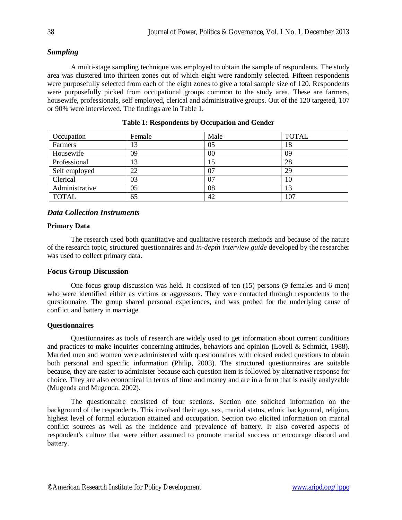## *Sampling*

A multi-stage sampling technique was employed to obtain the sample of respondents. The study area was clustered into thirteen zones out of which eight were randomly selected. Fifteen respondents were purposefully selected from each of the eight zones to give a total sample size of 120. Respondents were purposefully picked from occupational groups common to the study area. These are farmers, housewife, professionals, self employed, clerical and administrative groups. Out of the 120 targeted, 107 or 90% were interviewed. The findings are in Table 1.

| Occupation     | Female | Male | <b>TOTAL</b> |
|----------------|--------|------|--------------|
| Farmers        | 13     | 05   | 18           |
| Housewife      | 09     | 00   | 09           |
| Professional   | 13     | 15   | 28           |
| Self employed  | 22     | 07   | 29           |
| Clerical       | 03     | 07   | 10           |
| Administrative | 05     | 08   | 13           |
| <b>TOTAL</b>   | 65     | 42   | 107          |

## *Data Collection Instruments*

## **Primary Data**

The research used both quantitative and qualitative research methods and because of the nature of the research topic, structured questionnaires and *in-depth interview guide* developed by the researcher was used to collect primary data.

## **Focus Group Discussion**

One focus group discussion was held. It consisted of ten (15) persons (9 females and 6 men) who were identified either as victims or aggressors. They were contacted through respondents to the questionnaire. The group shared personal experiences, and was probed for the underlying cause of conflict and battery in marriage.

#### **Questionnaires**

Questionnaires as tools of research are widely used to get information about current conditions and practices to make inquiries concerning attitudes, behaviors and opinion **(**Lovell & Schmidt, 1988)**.** Married men and women were administered with questionnaires with closed ended questions to obtain both personal and specific information (Philip, 2003). The structured questionnaires are suitable because, they are easier to administer because each question item is followed by alternative response for choice. They are also economical in terms of time and money and are in a form that is easily analyzable (Mugenda and Mugenda, 2002).

The questionnaire consisted of four sections. Section one solicited information on the background of the respondents. This involved their age, sex, marital status, ethnic background, religion, highest level of formal education attained and occupation. Section two elicited information on marital conflict sources as well as the incidence and prevalence of battery. It also covered aspects of respondent's culture that were either assumed to promote marital success or encourage discord and battery.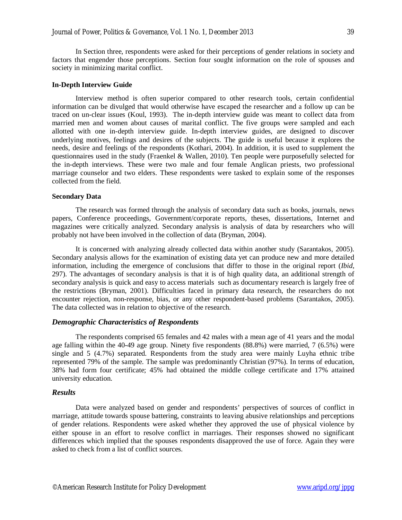In Section three, respondents were asked for their perceptions of gender relations in society and factors that engender those perceptions. Section four sought information on the role of spouses and society in minimizing marital conflict.

#### **In-Depth Interview Guide**

Interview method is often superior compared to other research tools, certain confidential information can be divulged that would otherwise have escaped the researcher and a follow up can be traced on un-clear issues (Koul, 1993). The in-depth interview guide was meant to collect data from married men and women about causes of marital conflict. The five groups were sampled and each allotted with one in-depth interview guide. In-depth interview guides, are designed to discover underlying motives, feelings and desires of the subjects. The guide is useful because it explores the needs, desire and feelings of the respondents (Kothari, 2004). In addition, it is used to supplement the questionnaires used in the study (Fraenkel & Wallen, 2010). Ten people were purposefully selected for the in-depth interviews. These were two male and four female Anglican priests, two professional marriage counselor and two elders. These respondents were tasked to explain some of the responses collected from the field.

#### **Secondary Data**

The research was formed through the analysis of secondary data such as books, journals, news papers, Conference proceedings, Government/corporate reports, theses, dissertations, Internet and magazines were critically analyzed. Secondary analysis is analysis of data by researchers who will probably not have been involved in the collection of data (Bryman, 2004).

It is concerned with analyzing already collected data within another study (Sarantakos, 2005). Secondary analysis allows for the examination of existing data yet can produce new and more detailed information, including the emergence of conclusions that differ to those in the original report (*Ibid,* 297). The advantages of secondary analysis is that it is of high quality data, an additional strength of secondary analysis is quick and easy to access materials such as documentary research is largely free of the restrictions (Bryman, 2001). Difficulties faced in primary data research, the researchers do not encounter rejection, non-response, bias, or any other respondent-based problems (Sarantakos, 2005). The data collected was in relation to objective of the research.

#### *Demographic Characteristics of Respondents*

The respondents comprised 65 females and 42 males with a mean age of 41 years and the modal age falling within the 40-49 age group. Ninety five respondents (88.8%) were married, 7 (6.5%) were single and 5 (4.7%) separated. Respondents from the study area were mainly Luyha ethnic tribe represented 79% of the sample. The sample was predominantly Christian (97%). In terms of education, 38% had form four certificate; 45% had obtained the middle college certificate and 17% attained university education.

#### *Results*

Data were analyzed based on gender and respondents' perspectives of sources of conflict in marriage, attitude towards spouse battering, constraints to leaving abusive relationships and perceptions of gender relations. Respondents were asked whether they approved the use of physical violence by either spouse in an effort to resolve conflict in marriages. Their responses showed no significant differences which implied that the spouses respondents disapproved the use of force. Again they were asked to check from a list of conflict sources.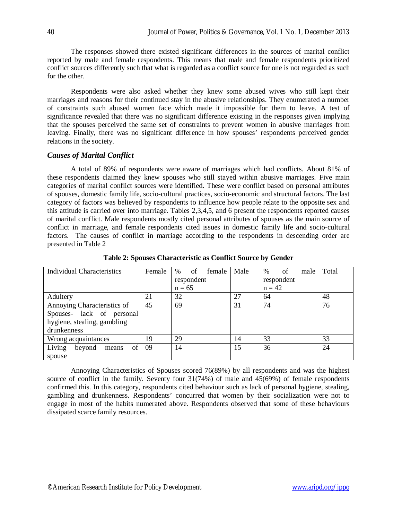The responses showed there existed significant differences in the sources of marital conflict reported by male and female respondents. This means that male and female respondents prioritized conflict sources differently such that what is regarded as a conflict source for one is not regarded as such for the other.

Respondents were also asked whether they knew some abused wives who still kept their marriages and reasons for their continued stay in the abusive relationships. They enumerated a number of constraints such abused women face which made it impossible for them to leave. A test of significance revealed that there was no significant difference existing in the responses given implying that the spouses perceived the same set of constraints to prevent women in abusive marriages from leaving. Finally, there was no significant difference in how spouses' respondents perceived gender relations in the society.

## *Causes of Marital Conflict*

A total of 89% of respondents were aware of marriages which had conflicts. About 81% of these respondents claimed they knew spouses who still stayed within abusive marriages. Five main categories of marital conflict sources were identified. These were conflict based on personal attributes of spouses, domestic family life, socio-cultural practices, socio-economic and structural factors. The last category of factors was believed by respondents to influence how people relate to the opposite sex and this attitude is carried over into marriage. Tables 2,3,4,5, and 6 present the respondents reported causes of marital conflict. Male respondents mostly cited personal attributes of spouses as the main source of conflict in marriage, and female respondents cited issues in domestic family life and socio-cultural factors. The causes of conflict in marriage according to the respondents in descending order are presented in Table 2

| Individual Characteristics      | Female | of<br>%<br>female | Male       | of<br>$\%$<br>male | Total |
|---------------------------------|--------|-------------------|------------|--------------------|-------|
|                                 |        | respondent        | respondent |                    |       |
|                                 |        | $n = 65$          |            | $n = 42$           |       |
| Adultery                        | 21     | 32                | 27         | 64                 | 48    |
| Annoying Characteristics of     | 45     | 69                | 31         | 74                 | 76    |
| Spouses- lack of personal       |        |                   |            |                    |       |
| hygiene, stealing, gambling     |        |                   |            |                    |       |
| drunkenness                     |        |                   |            |                    |       |
| Wrong acquaintances             | 19     | 29                | 14         | 33                 | 33    |
| Living<br>of<br>beyond<br>means | 09     | 14                | 15         | 36                 | 24    |
| spouse                          |        |                   |            |                    |       |

**Table 2: Spouses Characteristic as Conflict Source by Gender**

Annoying Characteristics of Spouses scored 76(89%) by all respondents and was the highest source of conflict in the family. Seventy four 31(74%) of male and 45(69%) of female respondents confirmed this. In this category, respondents cited behaviour such as lack of personal hygiene, stealing, gambling and drunkenness. Respondents' concurred that women by their socialization were not to engage in most of the habits numerated above. Respondents observed that some of these behaviours dissipated scarce family resources.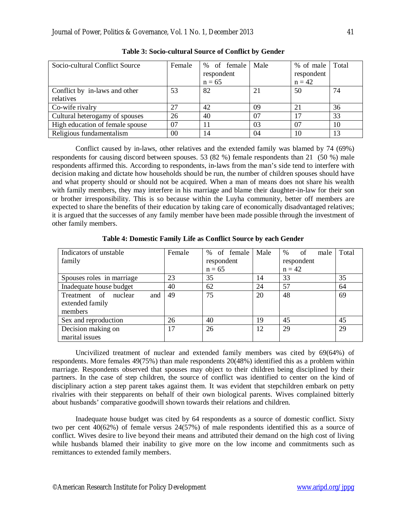| Socio-cultural Conflict Source  | Female  | % of female | Male | % of male  | Total |
|---------------------------------|---------|-------------|------|------------|-------|
|                                 |         | respondent  |      | respondent |       |
|                                 |         | $n = 65$    |      | $n = 42$   |       |
| Conflict by in-laws and other   | 53      | 82          | 21   | 50         | 74    |
| relatives                       |         |             |      |            |       |
| Co-wife rivalry                 | 27      | 42          | 09   | 21         | 36    |
| Cultural heterogamy of spouses  | 26      | 40          | 07   | 17         | 33    |
| High education of female spouse | 07      | 11          | 03   | 07         | 10    |
| Religious fundamentalism        | $00 \,$ | 14          | 04   | 10         | 13    |

**Table 3: Socio-cultural Source of Conflict by Gender**

Conflict caused by in-laws, other relatives and the extended family was blamed by 74 (69%) respondents for causing discord between spouses. 53 (82 %) female respondents than 21 (50 %) male respondents affirmed this. According to respondents, in-laws from the man's side tend to interfere with decision making and dictate how households should be run, the number of children spouses should have and what property should or should not be acquired. When a man of means does not share his wealth with family members, they may interfere in his marriage and blame their daughter-in-law for their son or brother irresponsibility. This is so because within the Luyha community, better off members are expected to share the benefits of their education by taking care of economically disadvantaged relatives; it is argued that the successes of any family member have been made possible through the investment of other family members.

| Indicators of unstable            | Female | of female<br>$\%$ | Male | of<br>$\%$<br>male | Total |
|-----------------------------------|--------|-------------------|------|--------------------|-------|
| family                            |        | respondent        |      | respondent         |       |
|                                   |        | $n = 65$          |      | $n = 42$           |       |
| Spouses roles in marriage         | 23     | 35                | 14   | 33                 | 35    |
| Inadequate house budget           | 40     | 62                | 24   | 57                 | 64    |
| and<br>Treatment<br>of<br>nuclear | 49     | 75                | 20   | 48                 | 69    |
| extended family                   |        |                   |      |                    |       |
| members                           |        |                   |      |                    |       |
| Sex and reproduction              | 26     | 40                | 19   | 45                 | 45    |
| Decision making on                | 17     | 26                | 12   | 29                 | 29    |
| marital issues                    |        |                   |      |                    |       |

**Table 4: Domestic Family Life as Conflict Source by each Gender**

Uncivilized treatment of nuclear and extended family members was cited by 69(64%) of respondents. More females 49(75%) than male respondents 20(48%) identified this as a problem within marriage. Respondents observed that spouses may object to their children being disciplined by their partners. In the case of step children, the source of conflict was identified to center on the kind of disciplinary action a step parent takes against them. It was evident that stepchildren embark on petty rivalries with their stepparents on behalf of their own biological parents. Wives complained bitterly about husbands' comparative goodwill shown towards their relations and children.

Inadequate house budget was cited by 64 respondents as a source of domestic conflict. Sixty two per cent 40(62%) of female versus 24(57%) of male respondents identified this as a source of conflict. Wives desire to live beyond their means and attributed their demand on the high cost of living while husbands blamed their inability to give more on the low income and commitments such as remittances to extended family members.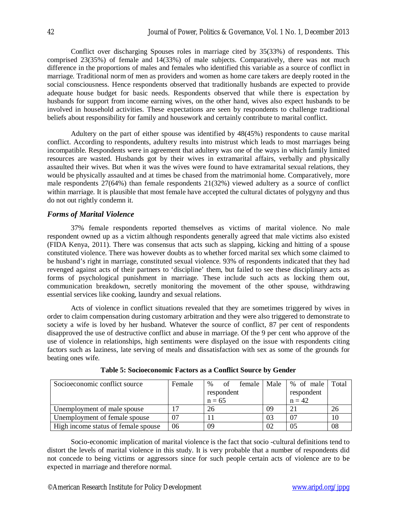Conflict over discharging Spouses roles in marriage cited by 35(33%) of respondents. This comprised 23(35%) of female and 14(33%) of male subjects. Comparatively, there was not much difference in the proportions of males and females who identified this variable as a source of conflict in marriage. Traditional norm of men as providers and women as home care takers are deeply rooted in the social consciousness. Hence respondents observed that traditionally husbands are expected to provide adequate house budget for basic needs. Respondents observed that while there is expectation by husbands for support from income earning wives, on the other hand, wives also expect husbands to be involved in household activities. These expectations are seen by respondents to challenge traditional beliefs about responsibility for family and housework and certainly contribute to marital conflict.

Adultery on the part of either spouse was identified by 48(45%) respondents to cause marital conflict. According to respondents, adultery results into mistrust which leads to most marriages being incompatible. Respondents were in agreement that adultery was one of the ways in which family limited resources are wasted. Husbands got by their wives in extramarital affairs, verbally and physically assaulted their wives. But when it was the wives were found to have extramarital sexual relations, they would be physically assaulted and at times be chased from the matrimonial home. Comparatively, more male respondents 27(64%) than female respondents 21(32%) viewed adultery as a source of conflict within marriage. It is plausible that most female have accepted the cultural dictates of polygyny and thus do not out rightly condemn it.

## *Forms of Marital Violence*

37% female respondents reported themselves as victims of marital violence. No male respondent owned up as a victim although respondents generally agreed that male victims also existed (FIDA Kenya, 2011). There was consensus that acts such as slapping, kicking and hitting of a spouse constituted violence. There was however doubts as to whether forced marital sex which some claimed to be husband's right in marriage, constituted sexual violence. 93% of respondents indicated that they had revenged against acts of their partners to 'discipline' them, but failed to see these disciplinary acts as forms of psychological punishment in marriage. These include such acts as locking them out, communication breakdown, secretly monitoring the movement of the other spouse, withdrawing essential services like cooking, laundry and sexual relations.

Acts of violence in conflict situations revealed that they are sometimes triggered by wives in order to claim compensation during customary arbitration and they were also triggered to demonstrate to society a wife is loved by her husband. Whatever the source of conflict, 87 per cent of respondents disapproved the use of destructive conflict and abuse in marriage. Of the 9 per cent who approve of the use of violence in relationships, high sentiments were displayed on the issue with respondents citing factors such as laziness, late serving of meals and dissatisfaction with sex as some of the grounds for beating ones wife.

| Socioeconomic conflict source       | Female | $\%$       | of | female | Male       |                | % of male | Total |
|-------------------------------------|--------|------------|----|--------|------------|----------------|-----------|-------|
|                                     |        | respondent |    |        | respondent |                |           |       |
|                                     |        | $n = 65$   |    |        |            | $n = 42$       |           |       |
| Unemployment of male spouse         |        | 26         |    |        | 09         | 2 <sup>1</sup> |           |       |
| Unemployment of female spouse       | 07     |            |    |        | 03         | 07             |           |       |
| High income status of female spouse | 06     | 09         |    |        | 02         | 0 <sup>5</sup> |           | 08    |

**Table 5: Socioeconomic Factors as a Conflict Source by Gender**

Socio-economic implication of marital violence is the fact that socio -cultural definitions tend to distort the levels of marital violence in this study. It is very probable that a number of respondents did not concede to being victims or aggressors since for such people certain acts of violence are to be expected in marriage and therefore normal.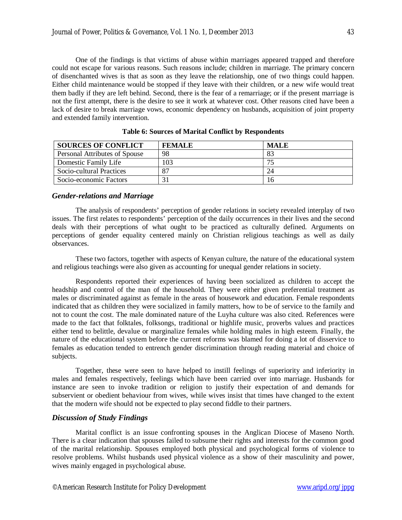One of the findings is that victims of abuse within marriages appeared trapped and therefore could not escape for various reasons. Such reasons include; children in marriage. The primary concern of disenchanted wives is that as soon as they leave the relationship, one of two things could happen. Either child maintenance would be stopped if they leave with their children, or a new wife would treat them badly if they are left behind. Second, there is the fear of a remarriage; or if the present marriage is not the first attempt, there is the desire to see it work at whatever cost. Other reasons cited have been a lack of desire to break marriage vows, economic dependency on husbands, acquisition of joint property and extended family intervention.

| <b>SOURCES OF CONFLICT</b>    | <b>FEMALE</b> | <b>MALE</b> |
|-------------------------------|---------------|-------------|
| Personal Attributes of Spouse | 98            | 83          |
| Domestic Family Life          | 103           | 75          |
| Socio-cultural Practices      | 87            | 24          |
| Socio-economic Factors        |               | 16          |

**Table 6: Sources of Marital Conflict by Respondents**

#### *Gender-relations and Marriage*

The analysis of respondents' perception of gender relations in society revealed interplay of two issues. The first relates to respondents' perception of the daily occurrences in their lives and the second deals with their perceptions of what ought to be practiced as culturally defined. Arguments on perceptions of gender equality centered mainly on Christian religious teachings as well as daily observances.

These two factors, together with aspects of Kenyan culture, the nature of the educational system and religious teachings were also given as accounting for unequal gender relations in society.

Respondents reported their experiences of having been socialized as children to accept the headship and control of the man of the household. They were either given preferential treatment as males or discriminated against as female in the areas of housework and education. Female respondents indicated that as children they were socialized in family matters, how to be of service to the family and not to count the cost. The male dominated nature of the Luyha culture was also cited. References were made to the fact that folktales, folksongs, traditional or highlife music, proverbs values and practices either tend to belittle, devalue or marginalize females while holding males in high esteem. Finally, the nature of the educational system before the current reforms was blamed for doing a lot of disservice to females as education tended to entrench gender discrimination through reading material and choice of subjects.

Together, these were seen to have helped to instill feelings of superiority and inferiority in males and females respectively, feelings which have been carried over into marriage. Husbands for instance are seen to invoke tradition or religion to justify their expectation of and demands for subservient or obedient behaviour from wives, while wives insist that times have changed to the extent that the modern wife should not be expected to play second fiddle to their partners.

#### *Discussion of Study Findings*

Marital conflict is an issue confronting spouses in the Anglican Diocese of Maseno North. There is a clear indication that spouses failed to subsume their rights and interests for the common good of the marital relationship. Spouses employed both physical and psychological forms of violence to resolve problems. Whilst husbands used physical violence as a show of their masculinity and power, wives mainly engaged in psychological abuse.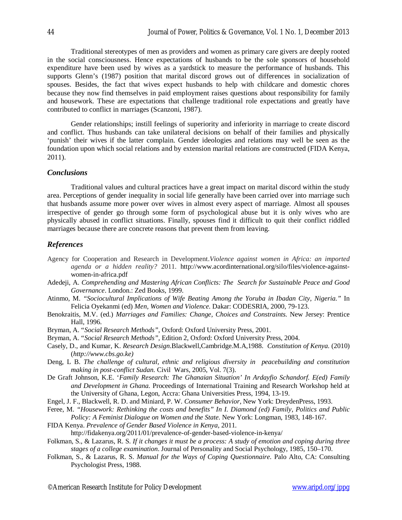Traditional stereotypes of men as providers and women as primary care givers are deeply rooted in the social consciousness. Hence expectations of husbands to be the sole sponsors of household expenditure have been used by wives as a yardstick to measure the performance of husbands. This supports Glenn's (1987) position that marital discord grows out of differences in socialization of spouses. Besides, the fact that wives expect husbands to help with childcare and domestic chores because they now find themselves in paid employment raises questions about responsibility for family and housework. These are expectations that challenge traditional role expectations and greatly have contributed to conflict in marriages (Scanzoni, 1987).

Gender relationships; instill feelings of superiority and inferiority in marriage to create discord and conflict. Thus husbands can take unilateral decisions on behalf of their families and physically 'punish' their wives if the latter complain. Gender ideologies and relations may well be seen as the foundation upon which social relations and by extension marital relations are constructed (FIDA Kenya, 2011).

## *Conclusions*

Traditional values and cultural practices have a great impact on marital discord within the study area. Perceptions of gender inequality in social life generally have been carried over into marriage such that husbands assume more power over wives in almost every aspect of marriage. Almost all spouses irrespective of gender go through some form of psychological abuse but it is only wives who are physically abused in conflict situations. Finally, spouses find it difficult to quit their conflict riddled marriages because there are concrete reasons that prevent them from leaving.

#### *References*

- Agency for Cooperation and Research in Development.*Violence against women in Africa: an imported agenda or a hidden reality?* 2011. http://www.acordinternational.org/silo/files/violence-againstwomen-in-africa.pdf
- Adedeji, A. *Comprehending and Mastering African Conflicts: The Search for Sustainable Peace and Good Governance*. London.: Zed Books, 1999.
- Atinmo, M. *"Sociocultural Implications of Wife Beating Among the Yoruba in Ibadan City, Nigeria."* In Felicia Oyekanmi (ed) *Men, Women and Violence.* Dakar: CODESRIA, 2000, 79-123.
- Benokraitis, M.V. (ed.) *Marriages and Families: Change, Choices and Constraints.* New Jersey: Prentice Hall, 1996.
- Bryman, A. "*Social Research Methods"*, Oxford: Oxford University Press, 2001.
- Bryman, A. "*Social Research Methods",* Edition 2, Oxford: Oxford University Press, 2004.
- Casely, D., and Kumar, K. *Research Design*.Blackwell,Cambridge.M.A,1988. *Constitution of Kenya.* (2010) (*http://www.cbs.go.ke)*
- Deng, L B. *The challenge of cultural, ethnic and religious diversity in peacebuilding and constitution making in post-conflict Sudan.* Civil Wars, 2005, Vol. 7(3).
- De Graft Johnson, K.E. '*Family Research: The Ghanaian Situation' In Ardayfio Schandorf. E(ed) Family and Development in Ghana.* Proceedings of International Training and Research Workshop held at the University of Ghana, Legon, Accra: Ghana Universities Press, 1994, 13-19.
- Engel, J. F., Blackwell, R. D. and Miniard, P. W. *Consumer Behavior*, New York: DreydenPress, 1993.
- Feree, M. *"Housework: Rethinking the costs and benefits" In I. Diamond (ed) Family, Politics and Public Policy: A Feminist Dialogue on Women and the State.* New York: Longman, 1983, 148-167.
- FIDA Kenya. *Prevalence of Gender Based Violence in Kenya,* 2011.
	- http://fidakenya.org/2011/01/prevalence-of-gender-based-violence-in-kenya/
- Folkman, S., & Lazarus, R. S. *If it changes it must be a process: A study of emotion and coping during three stages of a college examination*. Journal of Personality and Social Psychology, 1985, 150–170.
- Folkman, S., & Lazarus, R. S. *Manual for the Ways of Coping Questionnaire.* Palo Alto, CA: Consulting Psychologist Press, 1988.